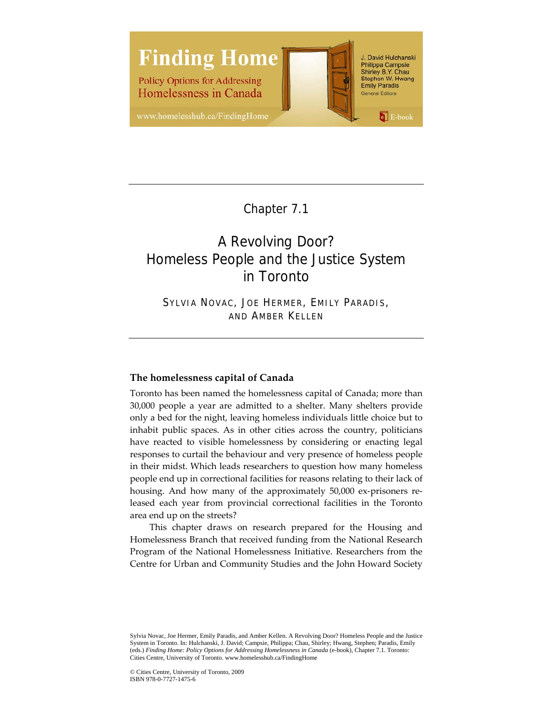

Chapter 7.1

# A Revolving Door? Homeless People and the Justice System in Toronto

SYLVIA NOVAC, JOE HERMER, EMILY PARADIS, AND AMBER KELLEN

# **The homelessness capital of Canada**

Toronto has been named the homelessness capital of Canada; more than 30,000 people a year are admitted to a shelter. Many shelters provide only a bed for the night, leaving homeless individuals little choice but to inhabit public spaces. As in other cities across the country, politicians have reacted to visible homelessness by considering or enacting legal responses to curtail the behaviour and very presence of homeless people in their midst. Which leads researchers to question how many homeless people end up in correctional facilities for reasons relating to their lack of housing. And how many of the approximately 50,000 ex-prisoners released each year from provincial correctional facilities in the Toronto area end up on the streets?

This chapter draws on research prepared for the Housing and Homelessness Branch that received funding from the National Research Program of the National Homelessness Initiative. Researchers from the Centre for Urban and Community Studies and the John Howard Society

Sylvia Novac, Joe Hermer, Emily Paradis, and Amber Kellen. A Revolving Door? Homeless People and the Justice System in Toronto. In: Hulchanski, J. David; Campsie, Philippa; Chau, Shirley; Hwang, Stephen; Paradis, Emily (eds.) *Finding Home: Policy Options for Addressing Homelessness in Canada* (e-book), Chapter 7.1. Toronto: Cities Centre, University of Toronto. www.homelesshub.ca/FindingHome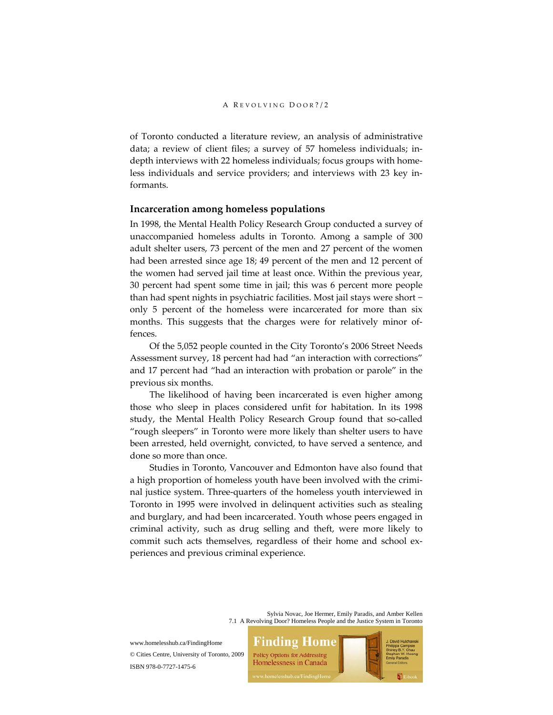of Toronto conducted a literature review, an analysis of administrative data; a review of client files; a survey of 57 homeless individuals; in‐ depth interviews with 22 homeless individuals; focus groups with homeless individuals and service providers; and interviews with 23 key in‐ formants.

## **Incarceration among homeless populations**

In 1998, the Mental Health Policy Research Group conducted a survey of unaccompanied homeless adults in Toronto. Among a sample of 300 adult shelter users, 73 percent of the men and 27 percent of the women had been arrested since age 18; 49 percent of the men and 12 percent of the women had served jail time at least once. Within the previous year, 30 percent had spent some time in jail; this was 6 percent more people than had spent nights in psychiatric facilities. Most jail stays were short − only 5 percent of the homeless were incarcerated for more than six months. This suggests that the charges were for relatively minor offences.

Of the 5,052 people counted in the City Toronto's 2006 Street Needs Assessment survey, 18 percent had had "an interaction with corrections" and 17 percent had "had an interaction with probation or parole" in the previous six months.

The likelihood of having been incarcerated is even higher among those who sleep in places considered unfit for habitation. In its 1998 study, the Mental Health Policy Research Group found that so‐called "rough sleepers" in Toronto were more likely than shelter users to have been arrested, held overnight, convicted, to have served a sentence, and done so more than once.

Studies in Toronto, Vancouver and Edmonton have also found that a high proportion of homeless youth have been involved with the crimi‐ nal justice system. Three‐quarters of the homeless youth interviewed in Toronto in 1995 were involved in delinquent activities such as stealing and burglary, and had been incarcerated. Youth whose peers engaged in criminal activity, such as drug selling and theft, were more likely to commit such acts themselves, regardless of their home and school experiences and previous criminal experience.

> Sylvia Novac, Joe Hermer, Emily Paradis, and Amber Kellen 7.1 A Revolving Door? Homeless People and the Justice System in Toronto

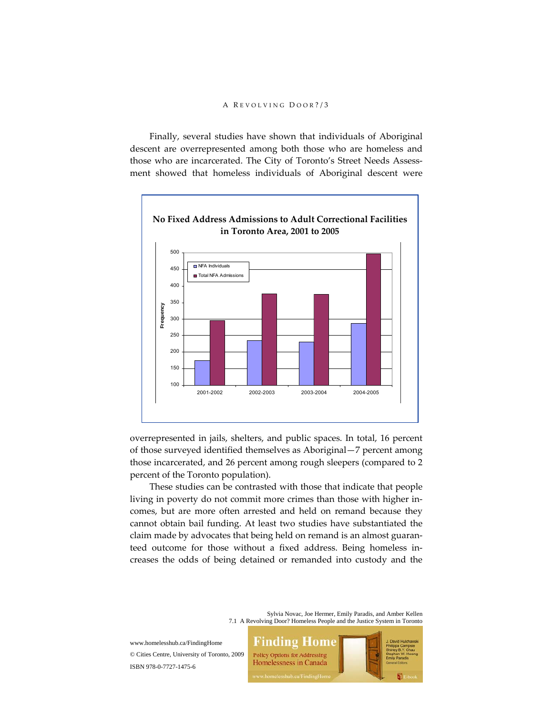Finally, several studies have shown that individuals of Aboriginal descent are overrepresented among both those who are homeless and those who are incarcerated. The City of Toronto's Street Needs Assessment showed that homeless individuals of Aboriginal descent were



overrepresented in jails, shelters, and public spaces. In total, 16 percent of those surveyed identified themselves as Aboriginal—7 percent among those incarcerated, and 26 percent among rough sleepers (compared to 2 percent of the Toronto population).

These studies can be contrasted with those that indicate that people living in poverty do not commit more crimes than those with higher in‐ comes, but are more often arrested and held on remand because they cannot obtain bail funding. At least two studies have substantiated the claim made by advocates that being held on remand is an almost guaranteed outcome for those without a fixed address. Being homeless in‐ creases the odds of being detained or remanded into custody and the

> Sylvia Novac, Joe Hermer, Emily Paradis, and Amber Kellen 7.1 A Revolving Door? Homeless People and the Justice System in Toronto

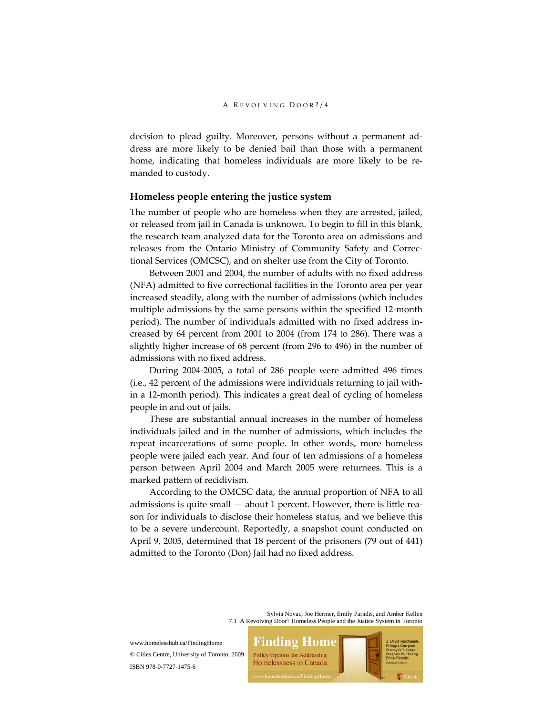decision to plead guilty. Moreover, persons without a permanent ad‐ dress are more likely to be denied bail than those with a permanent home, indicating that homeless individuals are more likely to be remanded to custody.

## **Homeless people entering the justice system**

The number of people who are homeless when they are arrested, jailed, or released from jail in Canada is unknown. To begin to fill in this blank, the research team analyzed data for the Toronto area on admissions and releases from the Ontario Ministry of Community Safety and Correc‐ tional Services (OMCSC), and on shelter use from the City of Toronto.

Between 2001 and 2004, the number of adults with no fixed address (NFA) admitted to five correctional facilities in the Toronto area per year increased steadily, along with the number of admissions (which includes multiple admissions by the same persons within the specified 12‐month period). The number of individuals admitted with no fixed address in‐ creased by 64 percent from 2001 to 2004 (from 174 to 286). There was a slightly higher increase of 68 percent (from 296 to 496) in the number of admissions with no fixed address.

During 2004‐2005, a total of 286 people were admitted 496 times (i.e., 42 percent of the admissions were individuals returning to jail with‐ in a 12‐month period). This indicates a great deal of cycling of homeless people in and out of jails.

These are substantial annual increases in the number of homeless individuals jailed and in the number of admissions, which includes the repeat incarcerations of some people. In other words, more homeless people were jailed each year. And four of ten admissions of a homeless person between April 2004 and March 2005 were returnees. This is a marked pattern of recidivism.

According to the OMCSC data, the annual proportion of NFA to all admissions is quite small  $-$  about 1 percent. However, there is little reason for individuals to disclose their homeless status, and we believe this to be a severe undercount. Reportedly, a snapshot count conducted on April 9, 2005, determined that 18 percent of the prisoners (79 out of 441) admitted to the Toronto (Don) Jail had no fixed address.

> Sylvia Novac, Joe Hermer, Emily Paradis, and Amber Kellen 7.1 A Revolving Door? Homeless People and the Justice System in Toronto

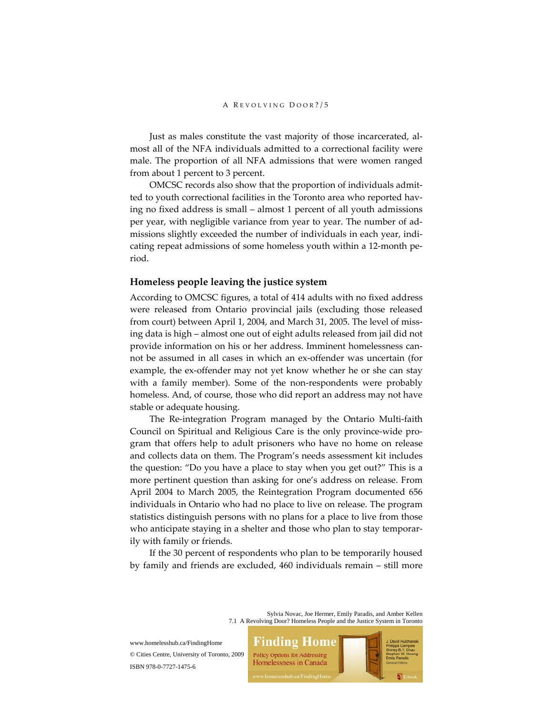Just as males constitute the vast majority of those incarcerated, al‐ most all of the NFA individuals admitted to a correctional facility were male. The proportion of all NFA admissions that were women ranged from about 1 percent to 3 percent.

OMCSC records also show that the proportion of individuals admit‐ ted to youth correctional facilities in the Toronto area who reported having no fixed address is small – almost 1 percent of all youth admissions per year, with negligible variance from year to year. The number of ad‐ missions slightly exceeded the number of individuals in each year, indicating repeat admissions of some homeless youth within a 12‐month pe‐ riod.

# **Homeless people leaving the justice system**

According to OMCSC figures, a total of 414 adults with no fixed address were released from Ontario provincial jails (excluding those released from court) between April 1, 2004, and March 31, 2005. The level of missing data is high – almost one out of eight adults released from jail did not provide information on his or her address. Imminent homelessness cannot be assumed in all cases in which an ex‐offender was uncertain (for example, the ex-offender may not yet know whether he or she can stay with a family member). Some of the non-respondents were probably homeless. And, of course, those who did report an address may not have stable or adequate housing.

The Re‐integration Program managed by the Ontario Multi‐faith Council on Spiritual and Religious Care is the only province‐wide pro‐ gram that offers help to adult prisoners who have no home on release and collects data on them. The Program's needs assessment kit includes the question: "Do you have a place to stay when you get out?" This is a more pertinent question than asking for one's address on release. From April 2004 to March 2005, the Reintegration Program documented 656 individuals in Ontario who had no place to live on release. The program statistics distinguish persons with no plans for a place to live from those who anticipate staying in a shelter and those who plan to stay temporarily with family or friends.

If the 30 percent of respondents who plan to be temporarily housed by family and friends are excluded, 460 individuals remain – still more

> Sylvia Novac, Joe Hermer, Emily Paradis, and Amber Kellen 7.1 A Revolving Door? Homeless People and the Justice System in Toronto

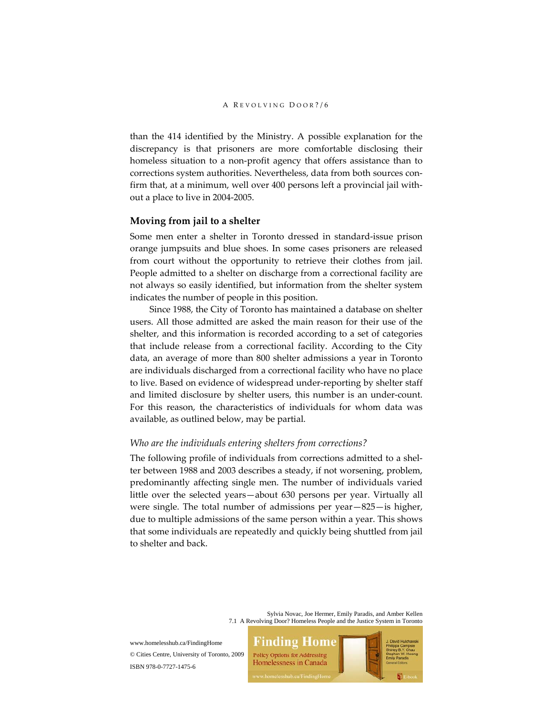than the 414 identified by the Ministry. A possible explanation for the discrepancy is that prisoners are more comfortable disclosing their homeless situation to a non‐profit agency that offers assistance than to corrections system authorities. Nevertheless, data from both sources confirm that, at a minimum, well over 400 persons left a provincial jail with‐ out a place to live in 2004‐2005.

## **Moving from jail to a shelter**

Some men enter a shelter in Toronto dressed in standard‐issue prison orange jumpsuits and blue shoes. In some cases prisoners are released from court without the opportunity to retrieve their clothes from jail. People admitted to a shelter on discharge from a correctional facility are not always so easily identified, but information from the shelter system indicates the number of people in this position.

Since 1988, the City of Toronto has maintained a database on shelter users. All those admitted are asked the main reason for their use of the shelter, and this information is recorded according to a set of categories that include release from a correctional facility. According to the City data, an average of more than 800 shelter admissions a year in Toronto are individuals discharged from a correctional facility who have no place to live. Based on evidence of widespread under‐reporting by shelter staff and limited disclosure by shelter users, this number is an under‐count. For this reason, the characteristics of individuals for whom data was available, as outlined below, may be partial.

### *Who are the individuals entering shelters from corrections?*

The following profile of individuals from corrections admitted to a shelter between 1988 and 2003 describes a steady, if not worsening, problem, predominantly affecting single men. The number of individuals varied little over the selected years—about 630 persons per year. Virtually all were single. The total number of admissions per year—825—is higher, due to multiple admissions of the same person within a year. This shows that some individuals are repeatedly and quickly being shuttled from jail to shelter and back.

> Sylvia Novac, Joe Hermer, Emily Paradis, and Amber Kellen 7.1 A Revolving Door? Homeless People and the Justice System in Toronto

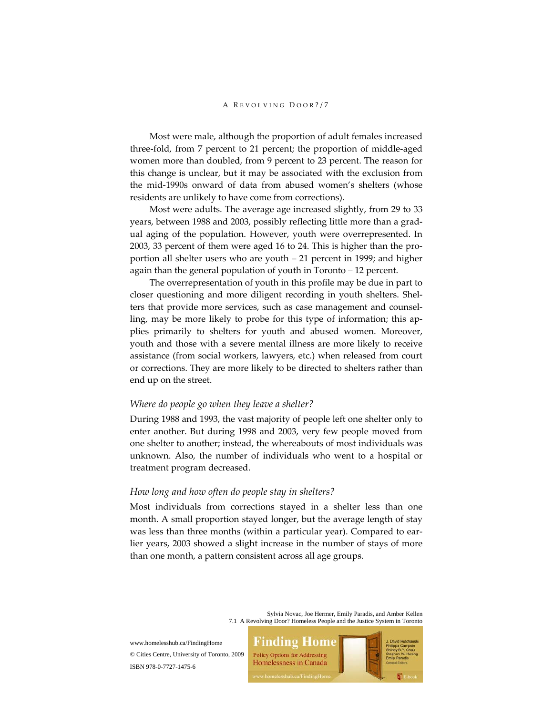Most were male, although the proportion of adult females increased three‐fold, from 7 percent to 21 percent; the proportion of middle‐aged women more than doubled, from 9 percent to 23 percent. The reason for this change is unclear, but it may be associated with the exclusion from the mid‐1990s onward of data from abused women's shelters (whose residents are unlikely to have come from corrections).

Most were adults. The average age increased slightly, from 29 to 33 years, between 1988 and 2003, possibly reflecting little more than a grad‐ ual aging of the population. However, youth were overrepresented. In 2003, 33 percent of them were aged 16 to 24. This is higher than the pro‐ portion all shelter users who are youth – 21 percent in 1999; and higher again than the general population of youth in Toronto – 12 percent.

The overrepresentation of youth in this profile may be due in part to closer questioning and more diligent recording in youth shelters. Shel‐ ters that provide more services, such as case management and counselling, may be more likely to probe for this type of information; this ap‐ plies primarily to shelters for youth and abused women. Moreover, youth and those with a severe mental illness are more likely to receive assistance (from social workers, lawyers, etc.) when released from court or corrections. They are more likely to be directed to shelters rather than end up on the street.

# *Where do people go when they leave a shelter?*

During 1988 and 1993, the vast majority of people left one shelter only to enter another. But during 1998 and 2003, very few people moved from one shelter to another; instead, the whereabouts of most individuals was unknown. Also, the number of individuals who went to a hospital or treatment program decreased.

## *How long and how often do people stay in shelters?*

Most individuals from corrections stayed in a shelter less than one month. A small proportion stayed longer, but the average length of stay was less than three months (within a particular year). Compared to earlier years, 2003 showed a slight increase in the number of stays of more than one month, a pattern consistent across all age groups.

> Sylvia Novac, Joe Hermer, Emily Paradis, and Amber Kellen 7.1 A Revolving Door? Homeless People and the Justice System in Toronto

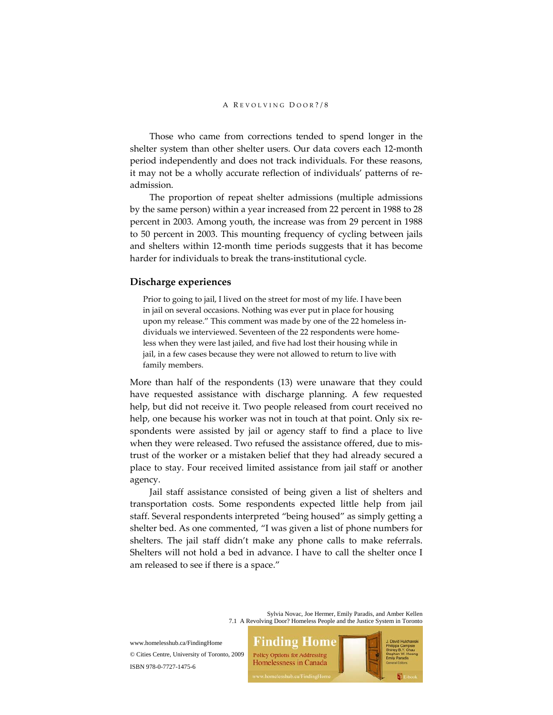Those who came from corrections tended to spend longer in the shelter system than other shelter users. Our data covers each 12‐month period independently and does not track individuals. For these reasons, it may not be a wholly accurate reflection of individuals' patterns of re‐ admission.

The proportion of repeat shelter admissions (multiple admissions by the same person) within a year increased from 22 percent in 1988 to 28 percent in 2003. Among youth, the increase was from 29 percent in 1988 to 50 percent in 2003. This mounting frequency of cycling between jails and shelters within 12‐month time periods suggests that it has become harder for individuals to break the trans-institutional cycle.

# **Discharge experiences**

Prior to going to jail, I lived on the street for most of my life. I have been in jail on several occasions. Nothing was ever put in place for housing upon my release." This comment was made by one of the 22 homeless in‐ dividuals we interviewed. Seventeen of the 22 respondents were home‐ less when they were last jailed, and five had lost their housing while in jail, in a few cases because they were not allowed to return to live with family members.

More than half of the respondents (13) were unaware that they could have requested assistance with discharge planning. A few requested help, but did not receive it. Two people released from court received no help, one because his worker was not in touch at that point. Only six respondents were assisted by jail or agency staff to find a place to live when they were released. Two refused the assistance offered, due to mistrust of the worker or a mistaken belief that they had already secured a place to stay. Four received limited assistance from jail staff or another agency.

Jail staff assistance consisted of being given a list of shelters and transportation costs. Some respondents expected little help from jail staff. Several respondents interpreted "being housed" as simply getting a shelter bed. As one commented, "I was given a list of phone numbers for shelters. The jail staff didn't make any phone calls to make referrals. Shelters will not hold a bed in advance. I have to call the shelter once I am released to see if there is a space."

> Sylvia Novac, Joe Hermer, Emily Paradis, and Amber Kellen 7.1 A Revolving Door? Homeless People and the Justice System in Toronto

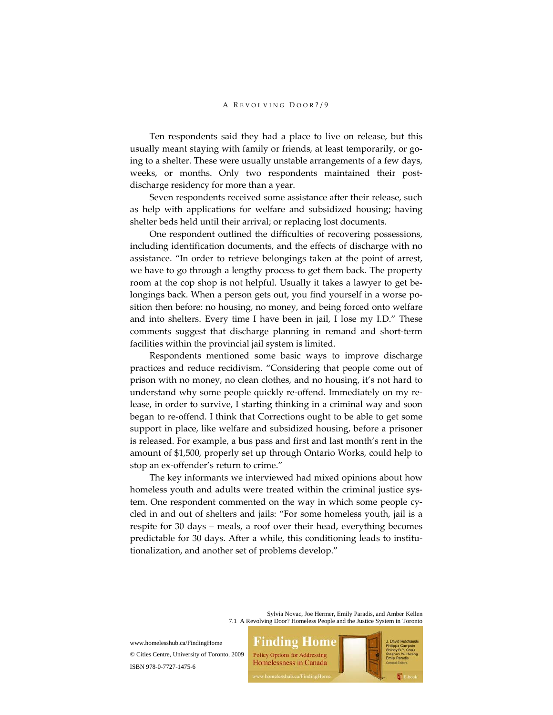Ten respondents said they had a place to live on release, but this usually meant staying with family or friends, at least temporarily, or going to a shelter. These were usually unstable arrangements of a few days, weeks, or months. Only two respondents maintained their postdischarge residency for more than a year.

Seven respondents received some assistance after their release, such as help with applications for welfare and subsidized housing; having shelter beds held until their arrival; or replacing lost documents.

One respondent outlined the difficulties of recovering possessions, including identification documents, and the effects of discharge with no assistance. "In order to retrieve belongings taken at the point of arrest, we have to go through a lengthy process to get them back. The property room at the cop shop is not helpful. Usually it takes a lawyer to get belongings back. When a person gets out, you find yourself in a worse po‐ sition then before: no housing, no money, and being forced onto welfare and into shelters. Every time I have been in jail, I lose my I.D." These comments suggest that discharge planning in remand and short‐term facilities within the provincial jail system is limited.

Respondents mentioned some basic ways to improve discharge practices and reduce recidivism. "Considering that people come out of prison with no money, no clean clothes, and no housing, it's not hard to understand why some people quickly re‐offend. Immediately on my re‐ lease, in order to survive, I starting thinking in a criminal way and soon began to re‐offend. I think that Corrections ought to be able to get some support in place, like welfare and subsidized housing, before a prisoner is released. For example, a bus pass and first and last month's rent in the amount of \$1,500, properly set up through Ontario Works, could help to stop an ex‐offender's return to crime."

The key informants we interviewed had mixed opinions about how homeless youth and adults were treated within the criminal justice system. One respondent commented on the way in which some people cy‐ cled in and out of shelters and jails: "For some homeless youth, jail is a respite for 30 days – meals, a roof over their head, everything becomes predictable for 30 days. After a while, this conditioning leads to institu‐ tionalization, and another set of problems develop."

> Sylvia Novac, Joe Hermer, Emily Paradis, and Amber Kellen 7.1 A Revolving Door? Homeless People and the Justice System in Toronto



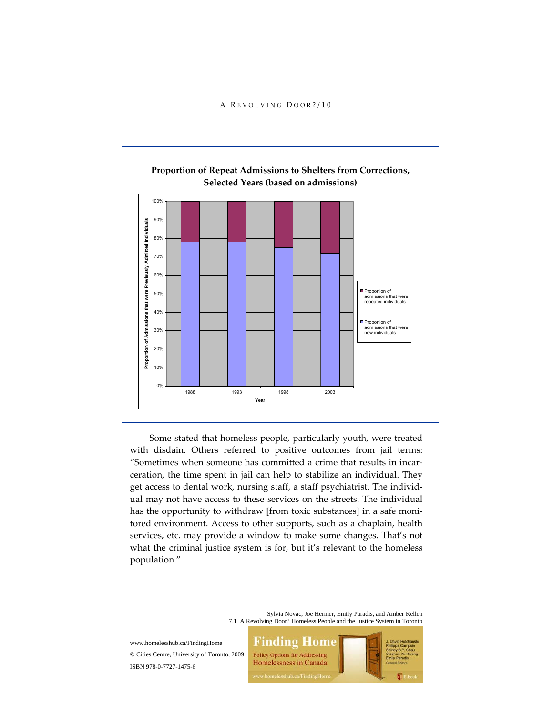

Some stated that homeless people, particularly youth, were treated with disdain. Others referred to positive outcomes from jail terms: "Sometimes when someone has committed a crime that results in incar‐ ceration, the time spent in jail can help to stabilize an individual. They get access to dental work, nursing staff, a staff psychiatrist. The individ‐ ual may not have access to these services on the streets. The individual has the opportunity to withdraw [from toxic substances] in a safe monitored environment. Access to other supports, such as a chaplain, health services, etc. may provide a window to make some changes. That's not what the criminal justice system is for, but it's relevant to the homeless population."

> Sylvia Novac, Joe Hermer, Emily Paradis, and Amber Kellen 7.1 A Revolving Door? Homeless People and the Justice System in Toronto

**Finding Home** www.homelesshub.ca/FindingHome © Cities Centre, University of Toronto, 2009 **Policy Options for Addressing** Homelessness in Canada ISBN 978-0-7727-1475-6

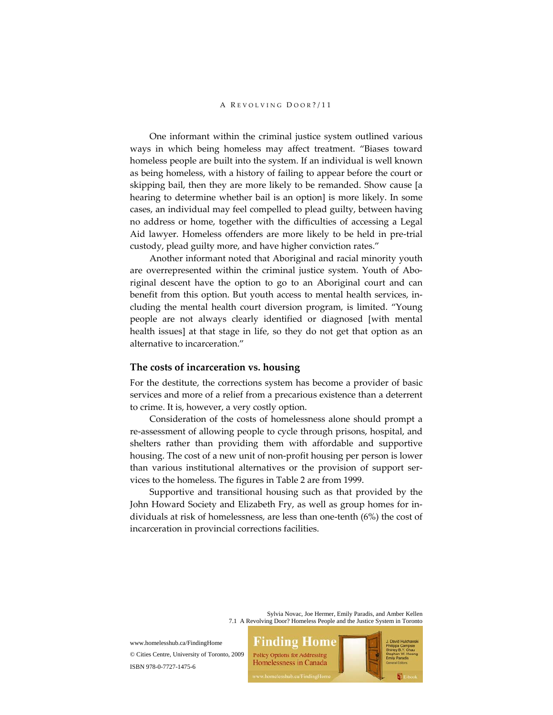One informant within the criminal justice system outlined various ways in which being homeless may affect treatment. "Biases toward homeless people are built into the system. If an individual is well known as being homeless, with a history of failing to appear before the court or skipping bail, then they are more likely to be remanded. Show cause [a hearing to determine whether bail is an option] is more likely. In some cases, an individual may feel compelled to plead guilty, between having no address or home, together with the difficulties of accessing a Legal Aid lawyer. Homeless offenders are more likely to be held in pre‐trial custody, plead guilty more, and have higher conviction rates."

Another informant noted that Aboriginal and racial minority youth are overrepresented within the criminal justice system. Youth of Abo– riginal descent have the option to go to an Aboriginal court and can benefit from this option. But youth access to mental health services, in‐ cluding the mental health court diversion program, is limited. "Young people are not always clearly identified or diagnosed [with mental health issues] at that stage in life, so they do not get that option as an alternative to incarceration."

# **The costs of incarceration vs. housing**

For the destitute, the corrections system has become a provider of basic services and more of a relief from a precarious existence than a deterrent to crime. It is, however, a very costly option.

Consideration of the costs of homelessness alone should prompt a re‐assessment of allowing people to cycle through prisons, hospital, and shelters rather than providing them with affordable and supportive housing. The cost of a new unit of non‐profit housing per person is lower than various institutional alternatives or the provision of support services to the homeless. The figures in Table 2 are from 1999.

Supportive and transitional housing such as that provided by the John Howard Society and Elizabeth Fry, as well as group homes for in‐ dividuals at risk of homelessness, are less than one‐tenth (6%) the cost of incarceration in provincial corrections facilities.

> Sylvia Novac, Joe Hermer, Emily Paradis, and Amber Kellen 7.1 A Revolving Door? Homeless People and the Justice System in Toronto

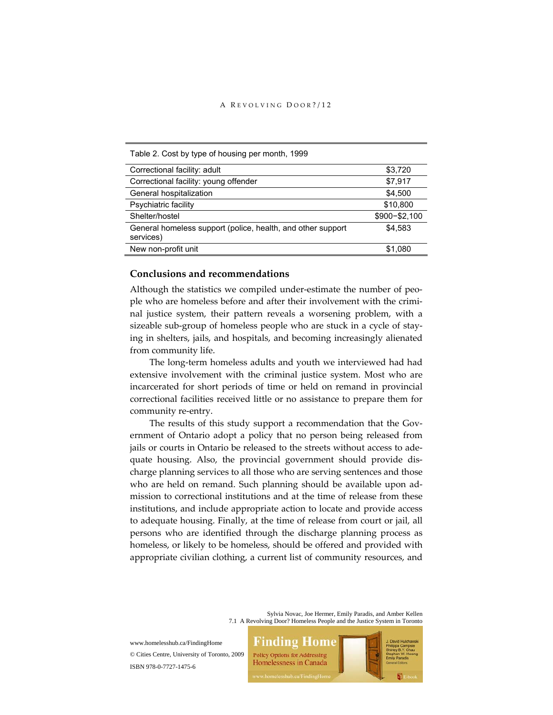|  |  |  | Table 2. Cost by type of housing per month, 1999 |  |
|--|--|--|--------------------------------------------------|--|
|--|--|--|--------------------------------------------------|--|

| Correctional facility: adult                                             | \$3,720         |
|--------------------------------------------------------------------------|-----------------|
| Correctional facility: young offender                                    | \$7,917         |
| General hospitalization                                                  | \$4.500         |
| Psychiatric facility                                                     | \$10,800        |
| Shelter/hostel                                                           | $$900 - $2,100$ |
| General homeless support (police, health, and other support<br>services) | \$4.583         |
| New non-profit unit                                                      | \$1.080         |

# **Conclusions and recommendations**

Although the statistics we compiled under‐estimate the number of peo‐ ple who are homeless before and after their involvement with the crimi‐ nal justice system, their pattern reveals a worsening problem, with a sizeable sub-group of homeless people who are stuck in a cycle of staying in shelters, jails, and hospitals, and becoming increasingly alienated from community life.

The long-term homeless adults and youth we interviewed had had extensive involvement with the criminal justice system. Most who are incarcerated for short periods of time or held on remand in provincial correctional facilities received little or no assistance to prepare them for community re‐entry.

The results of this study support a recommendation that the Government of Ontario adopt a policy that no person being released from jails or courts in Ontario be released to the streets without access to ade‐ quate housing. Also, the provincial government should provide dis‐ charge planning services to all those who are serving sentences and those who are held on remand. Such planning should be available upon admission to correctional institutions and at the time of release from these institutions, and include appropriate action to locate and provide access to adequate housing. Finally, at the time of release from court or jail, all persons who are identified through the discharge planning process as homeless, or likely to be homeless, should be offered and provided with appropriate civilian clothing, a current list of community resources, and

> Sylvia Novac, Joe Hermer, Emily Paradis, and Amber Kellen 7.1 A Revolving Door? Homeless People and the Justice System in Toronto